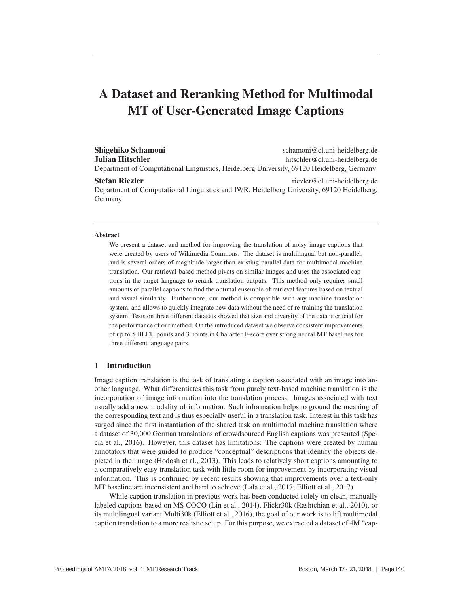# A Dataset and Reranking Method for Multimodal MT of User-Generated Image Captions

Shigehiko Schamoni schamoni schamoni schamoni schamoni schamoni schamoni schamoni schamoni schamoni schamoni sch **Julian Hitschler hitschler** hitschler@cl.uni-heidelberg.de Department of Computational Linguistics, Heidelberg University, 69120 Heidelberg, Germany

## Stefan Riezler riezler riezler et al. et al. et al. et al. et al. et al. et al. et al. et al. et al. et al. et al. et al. et al. et al. et al. et al. et al. et al. et al. et al. et al. et al. et al. et al. et al. et al. et

Department of Computational Linguistics and IWR, Heidelberg University, 69120 Heidelberg, Germany

#### Abstract

We present a dataset and method for improving the translation of noisy image captions that were created by users of Wikimedia Commons. The dataset is multilingual but non-parallel, and is several orders of magnitude larger than existing parallel data for multimodal machine translation. Our retrieval-based method pivots on similar images and uses the associated captions in the target language to rerank translation outputs. This method only requires small amounts of parallel captions to find the optimal ensemble of retrieval features based on textual and visual similarity. Furthermore, our method is compatible with any machine translation system, and allows to quickly integrate new data without the need of re-training the translation system. Tests on three different datasets showed that size and diversity of the data is crucial for the performance of our method. On the introduced dataset we observe consistent improvements of up to 5 BLEU points and 3 points in Character F-score over strong neural MT baselines for three different language pairs.

# 1 Introduction

Image caption translation is the task of translating a caption associated with an image into another language. What differentiates this task from purely text-based machine translation is the incorporation of image information into the translation process. Images associated with text usually add a new modality of information. Such information helps to ground the meaning of the corresponding text and is thus especially useful in a translation task. Interest in this task has surged since the first instantiation of the shared task on multimodal machine translation where a dataset of 30,000 German translations of crowdsourced English captions was presented (Specia et al., 2016). However, this dataset has limitations: The captions were created by human annotators that were guided to produce "conceptual" descriptions that identify the objects depicted in the image (Hodosh et al., 2013). This leads to relatively short captions amounting to a comparatively easy translation task with little room for improvement by incorporating visual information. This is confirmed by recent results showing that improvements over a text-only MT baseline are inconsistent and hard to achieve (Lala et al., 2017; Elliott et al., 2017).

While caption translation in previous work has been conducted solely on clean, manually labeled captions based on MS COCO (Lin et al., 2014), Flickr30k (Rashtchian et al., 2010), or its multilingual variant Multi30k (Elliott et al., 2016), the goal of our work is to lift multimodal caption translation to a more realistic setup. For this purpose, we extracted a dataset of 4M "cap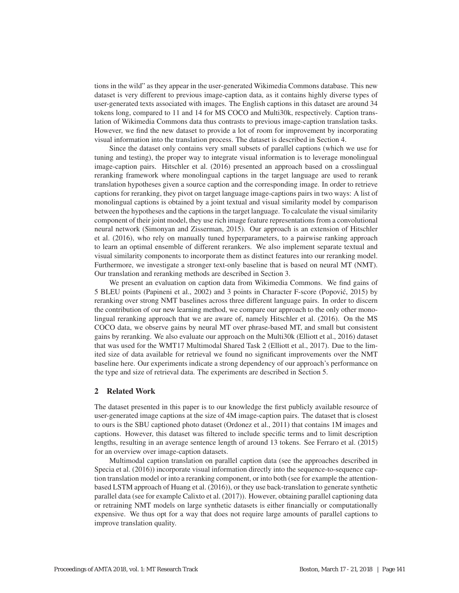tions in the wild" as they appear in the user-generated Wikimedia Commons database. This new dataset is very different to previous image-caption data, as it contains highly diverse types of user-generated texts associated with images. The English captions in this dataset are around 34 tokens long, compared to 11 and 14 for MS COCO and Multi30k, respectively. Caption translation of Wikimedia Commons data thus contrasts to previous image-caption translation tasks. However, we find the new dataset to provide a lot of room for improvement by incorporating visual information into the translation process. The dataset is described in Section 4.

Since the dataset only contains very small subsets of parallel captions (which we use for tuning and testing), the proper way to integrate visual information is to leverage monolingual image-caption pairs. Hitschler et al. (2016) presented an approach based on a crosslingual reranking framework where monolingual captions in the target language are used to rerank translation hypotheses given a source caption and the corresponding image. In order to retrieve captions for reranking, they pivot on target language image-captions pairs in two ways: A list of monolingual captions is obtained by a joint textual and visual similarity model by comparison between the hypotheses and the captions in the target language. To calculate the visual similarity component of their joint model, they use rich image feature representations from a convolutional neural network (Simonyan and Zisserman, 2015). Our approach is an extension of Hitschler et al. (2016), who rely on manually tuned hyperparameters, to a pairwise ranking approach to learn an optimal ensemble of different rerankers. We also implement separate textual and visual similarity components to incorporate them as distinct features into our reranking model. Furthermore, we investigate a stronger text-only baseline that is based on neural MT (NMT). Our translation and reranking methods are described in Section 3.

We present an evaluation on caption data from Wikimedia Commons. We find gains of 5 BLEU points (Papineni et al., 2002) and 3 points in Character F-score (Popovic, 2015) by ´ reranking over strong NMT baselines across three different language pairs. In order to discern the contribution of our new learning method, we compare our approach to the only other monolingual reranking approach that we are aware of, namely Hitschler et al. (2016). On the MS COCO data, we observe gains by neural MT over phrase-based MT, and small but consistent gains by reranking. We also evaluate our approach on the Multi30k (Elliott et al., 2016) dataset that was used for the WMT17 Multimodal Shared Task 2 (Elliott et al., 2017). Due to the limited size of data available for retrieval we found no significant improvements over the NMT baseline here. Our experiments indicate a strong dependency of our approach's performance on the type and size of retrieval data. The experiments are described in Section 5.

# 2 Related Work

The dataset presented in this paper is to our knowledge the first publicly available resource of user-generated image captions at the size of 4M image-caption pairs. The dataset that is closest to ours is the SBU captioned photo dataset (Ordonez et al., 2011) that contains 1M images and captions. However, this dataset was filtered to include specific terms and to limit description lengths, resulting in an average sentence length of around 13 tokens. See Ferraro et al. (2015) for an overview over image-caption datasets.

Multimodal caption translation on parallel caption data (see the approaches described in Specia et al. (2016)) incorporate visual information directly into the sequence-to-sequence caption translation model or into a reranking component, or into both (see for example the attentionbased LSTM approach of Huang et al. (2016)), or they use back-translation to generate synthetic parallel data (see for example Calixto et al. (2017)). However, obtaining parallel captioning data or retraining NMT models on large synthetic datasets is either financially or computationally expensive. We thus opt for a way that does not require large amounts of parallel captions to improve translation quality.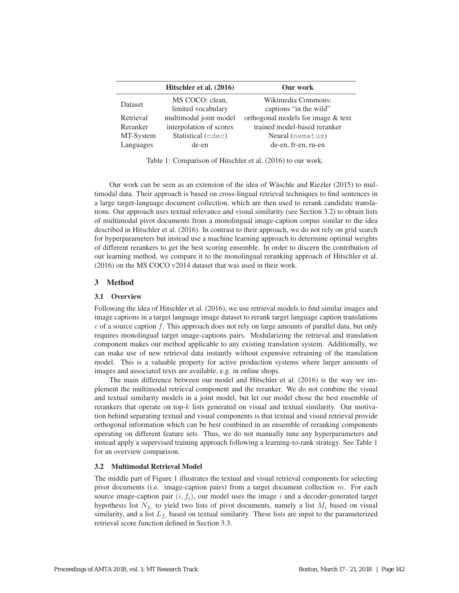|           | Hitschler et al. (2016) | Our work                           |
|-----------|-------------------------|------------------------------------|
| Dataset   | MS COCO: clean,         | Wikimedia Commons:                 |
|           | limited vocabulary      | captions "in the wild"             |
| Retrieval | multimodal joint model  | orthogonal models for image & text |
| Reranker  | interpolation of scores | trained model-based reranker       |
| MT-System | Statistical (cdec)      | Neural (nematus)                   |
| Languages | de-en                   | de-en, fr-en, ru-en                |

Table 1: Comparison of Hitschler et al. (2016) to our work.

Our work can be seen as an extension of the idea of Wäschle and Riezler  $(2015)$  to multimodal data. Their approach is based on cross-lingual retrieval techniques to find sentences in a large target-language document collection, which are then used to rerank candidate translations. Our approach uses textual relevance and visual similarity (see Section 3.2) to obtain lists of multimodal pivot documents from a monolingual image-caption corpus similar to the idea described in Hitschler et al. (2016). In contrast to their approach, we do not rely on grid search for hyperparameters but instead use a machine learning approach to determine optimal weights of different rerankers to get the best scoring ensemble. In order to discern the contribution of our learning method, we compare it to the monolingual reranking approach of Hitschler et al. (2016) on the MS COCO v2014 dataset that was used in their work.

## 3 Method

# 3.1 Overview

Following the idea of Hitschler et al. (2016), we use retrieval models to find similar images and image captions in a target language image dataset to rerank target language caption translations  $e$  of a source caption f. This approach does not rely on large amounts of parallel data, but only requires monolingual target image-captions pairs. Modularizing the retrieval and translation component makes our method applicable to any existing translation system. Additionally, we can make use of new retrieval data instantly without expensive retraining of the translation model. This is a valuable property for active production systems where larger amounts of images and associated texts are available, e.g. in online shops.

The main difference between our model and Hitschler et al. (2016) is the way we implement the multimodal retrieval component and the reranker. We do not combine the visual and textual similarity models in a joint model, but let our model chose the best ensemble of rerankers that operate on top-k lists generated on visual and textual similarity. Our motivation behind separating textual and visual components is that textual and visual retrieval provide orthogonal information which can be best combined in an ensemble of reranking components operating on different feature sets. Thus, we do not manually tune any hyperparameters and instead apply a supervised training approach following a learning-to-rank strategy. See Table 1 for an overview comparison.

## 3.2 Multimodal Retrieval Model

The middle part of Figure 1 illustrates the textual and visual retrieval components for selecting pivot documents (i.e. image-caption pairs) from a target document collection  $m$ . For each source image-caption pair  $(i, f_i)$ , our model uses the image i and a decoder-generated target hypothesis list  $N_{f_i}$  to yield two lists of pivot documents, namely a list  $M_i$  based on visual similarity, and a list  $L_{f_i}$  based on textual similarity. These lists are input to the parameterized retrieval score function defined in Section 3.3.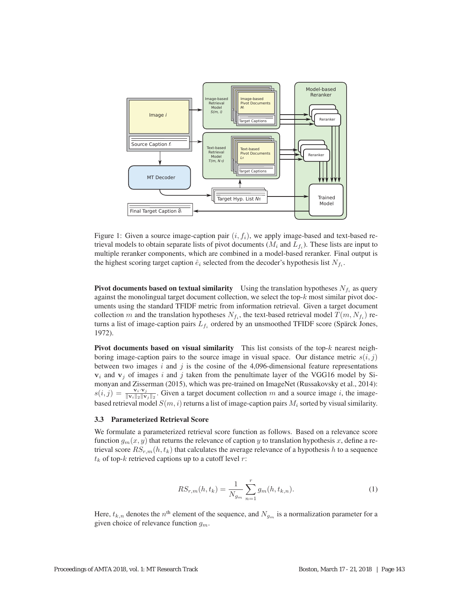

Figure 1: Given a source image-caption pair  $(i, f_i)$ , we apply image-based and text-based retrieval models to obtain separate lists of pivot documents ( $M_i$  and  $L_{f_i}$ ). These lists are input to multiple reranker components, which are combined in a model-based reranker. Final output is the highest scoring target caption  $\hat{e}_i$  selected from the decoder's hypothesis list  $N_{f_i}$ .

**Pivot documents based on textual similarity** Using the translation hypotheses  $N_{f_i}$  as query against the monolingual target document collection, we select the top- $k$  most similar pivot documents using the standard TFIDF metric from information retrieval. Given a target document collection m and the translation hypotheses  $N_{f_i}$ , the text-based retrieval model  $T(m, N_{f_i})$  returns a list of image-caption pairs  $L_{f_i}$  ordered by an unsmoothed TFIDF score (Spärck Jones, 1972).

Pivot documents based on visual similarity This list consists of the top- $k$  nearest neighboring image-caption pairs to the source image in visual space. Our distance metric  $s(i, j)$ between two images i and j is the cosine of the 4,096-dimensional feature representations  $v_i$  and  $v_j$  of images i and j taken from the penultimate layer of the VGG16 model by Simonyan and Zisserman (2015), which was pre-trained on ImageNet (Russakovsky et al., 2014):  $s(i, j) = \frac{\mathbf{v}_i \cdot \mathbf{v}_j}{\|\mathbf{v}_i\|_2 \|\mathbf{v}_j\|_2}$ . Given a target document collection m and a source image i, the imagebased retrieval model  $S(m, i)$  returns a list of image-caption pairs  $M_i$  sorted by visual similarity.

## 3.3 Parameterized Retrieval Score

We formulate a parameterized retrieval score function as follows. Based on a relevance score function  $g_m(x, y)$  that returns the relevance of caption y to translation hypothesis x, define a retrieval score  $RS_{r,m}(h, t_k)$  that calculates the average relevance of a hypothesis h to a sequence  $t_k$  of top- $k$  retrieved captions up to a cutoff level  $r$ :

$$
RS_{r,m}(h, t_k) = \frac{1}{N_{g_m}} \sum_{n=1}^{r} g_m(h, t_{k,n}).
$$
\n(1)

Here,  $t_{k,n}$  denotes the  $n^{\text{th}}$  element of the sequence, and  $N_{g_m}$  is a normalization parameter for a given choice of relevance function  $g_m$ .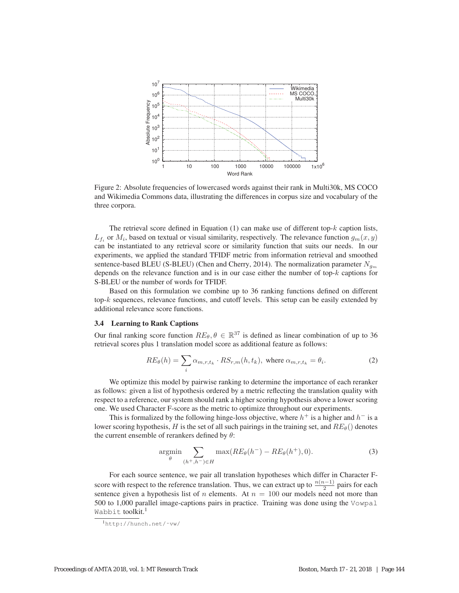

Figure 2: Absolute frequencies of lowercased words against their rank in Multi30k, MS COCO and Wikimedia Commons data, illustrating the differences in corpus size and vocabulary of the three corpora.

The retrieval score defined in Equation (1) can make use of different top- $k$  caption lists,  $L_{f_i}$  or  $M_i$ , based on textual or visual similarity, respectively. The relevance function  $g_m(x, y)$ can be instantiated to any retrieval score or similarity function that suits our needs. In our experiments, we applied the standard TFIDF metric from information retrieval and smoothed sentence-based BLEU (S-BLEU) (Chen and Cherry, 2014). The normalization parameter  $N_{g_m}$ depends on the relevance function and is in our case either the number of top-k captions for S-BLEU or the number of words for TFIDF.

Based on this formulation we combine up to 36 ranking functions defined on different top-k sequences, relevance functions, and cutoff levels. This setup can be easily extended by additional relevance score functions.

#### 3.4 Learning to Rank Captions

Our final ranking score function  $RE_{\theta}$ ,  $\theta \in \mathbb{R}^{37}$  is defined as linear combination of up to 36 retrieval scores plus 1 translation model score as additional feature as follows:

$$
RE_{\theta}(h) = \sum_{i} \alpha_{m,r,t_k} \cdot RS_{r,m}(h,t_k), \text{ where } \alpha_{m,r,t_k} = \theta_i. \tag{2}
$$

We optimize this model by pairwise ranking to determine the importance of each reranker as follows: given a list of hypothesis ordered by a metric reflecting the translation quality with respect to a reference, our system should rank a higher scoring hypothesis above a lower scoring one. We used Character F-score as the metric to optimize throughout our experiments.

This is formalized by the following hinge-loss objective, where  $h^+$  is a higher and  $h^-$  is a lower scoring hypothesis, H is the set of all such pairings in the training set, and  $RE_{\theta}$  denotes the current ensemble of rerankers defined by  $\theta$ :

$$
\underset{\theta}{\text{argmin}} \sum_{(h^+,h^-)\in H} \max(RE_{\theta}(h^-) - RE_{\theta}(h^+), 0). \tag{3}
$$

For each source sentence, we pair all translation hypotheses which differ in Character Fscore with respect to the reference translation. Thus, we can extract up to  $\frac{n(n-1)}{2}$  pairs for each sentence given a hypothesis list of n elements. At  $n = 100$  our models need not more than 500 to 1,000 parallel image-captions pairs in practice. Training was done using the Vowpal Wabbit toolkit.<sup>1</sup>

<sup>1</sup>http://hunch.net/˜vw/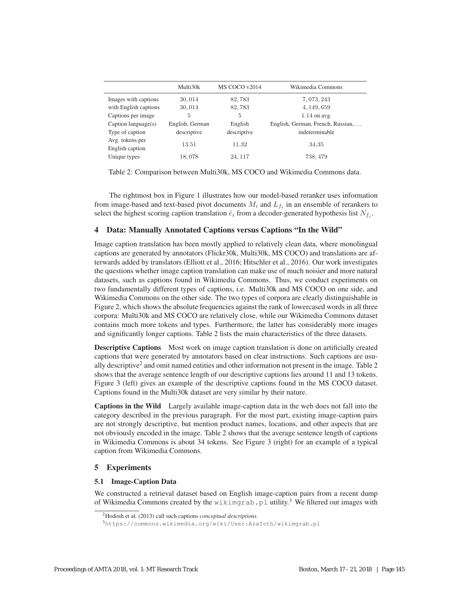|                        | Multi30k        | MS COCO v2014 | Wikimedia Commons                 |
|------------------------|-----------------|---------------|-----------------------------------|
| Images with captions   | 30,014          | 82,783        | 7,073,243                         |
| with English captions  | 30,014          | 82,783        | 4, 149, 659                       |
| Captions per image     | 5               | 5             | $1.14$ on avg.                    |
| Caption language $(s)$ | English, German | English       | English, German, French, Russian, |
| Type of caption        | descriptive     | descriptive   | indeterminable                    |
| Avg. tokens per        | 13.51           | 11.32         | 34.35                             |
| English caption        |                 |               |                                   |
| Unique types           | 18,078          | 24, 117       | 738, 479                          |

Table 2: Comparison between Multi30k, MS COCO and Wikimedia Commons data.

The rightmost box in Figure 1 illustrates how our model-based reranker uses information from image-based and text-based pivot documents  $M_i$  and  $L_{f_i}$  in an ensemble of rerankers to select the highest scoring caption translation  $\hat{e}_i$  from a decoder-generated hypothesis list  $N_{f_i}$ .

# 4 Data: Manually Annotated Captions versus Captions "In the Wild"

Image caption translation has been mostly applied to relatively clean data, where monolingual captions are generated by annotators (Flickr30k, Multi30k, MS COCO) and translations are afterwards added by translators (Elliott et al., 2016; Hitschler et al., 2016). Our work investigates the questions whether image caption translation can make use of much noisier and more natural datasets, such as captions found in Wikimedia Commons. Thus, we conduct experiments on two fundamentally different types of captions, i.e. Multi30k and MS COCO on one side, and Wikimedia Commons on the other side. The two types of corpora are clearly distinguishable in Figure 2, which shows the absolute frequencies against the rank of lowercased words in all three corpora: Multi30k and MS COCO are relatively close, while our Wikimedia Commons dataset contains much more tokens and types. Furthermore, the latter has considerably more images and significantly longer captions. Table 2 lists the main characteristics of the three datasets.

**Descriptive Captions** Most work on image caption translation is done on artificially created captions that were generated by annotators based on clear instructions. Such captions are usually descriptive<sup>2</sup> and omit named entities and other information not present in the image. Table 2 shows that the average sentence length of our descriptive captions lies around 11 and 13 tokens. Figure 3 (left) gives an example of the descriptive captions found in the MS COCO dataset. Captions found in the Multi30k dataset are very similar by their nature.

Captions in the Wild Largely available image-caption data in the web does not fall into the category described in the previous paragraph. For the most part, existing image-caption pairs are not strongly descriptive, but mention product names, locations, and other aspects that are not obviously encoded in the image. Table 2 shows that the average sentence length of captions in Wikimedia Commons is about 34 tokens. See Figure 3 (right) for an example of a typical caption from Wikimedia Commons.

## 5 Experiments

## 5.1 Image-Caption Data

We constructed a retrieval dataset based on English image-caption pairs from a recent dump of Wikimedia Commons created by the wikimgrab.pl utility.<sup>3</sup> We filtered out images with

<sup>2</sup>Hodosh et al. (2013) call such captions *conceptual descriptions*.

<sup>3</sup>https://commons.wikimedia.org/wiki/User:AzaToth/wikimgrab.pl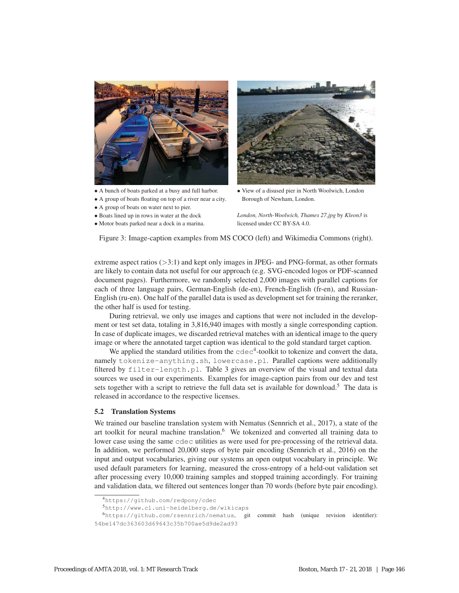

- A bunch of boats parked at a busy and full harbor.
- A group of boats floating on top of a river near a city.
- A group of boats on water next to pier.
- Boats lined up in rows in water at the dock
- Motor boats parked near a dock in a marina.



• View of a disused pier in North Woolwich, London Borough of Newham, London.

*London, North-Woolwich, Thames 27.jpg* by *Kleon3* is licensed under CC BY-SA 4.0.

Figure 3: Image-caption examples from MS COCO (left) and Wikimedia Commons (right).

extreme aspect ratios  $(>3:1)$  and kept only images in JPEG- and PNG-format, as other formats are likely to contain data not useful for our approach (e.g. SVG-encoded logos or PDF-scanned document pages). Furthermore, we randomly selected 2,000 images with parallel captions for each of three language pairs, German-English (de-en), French-English (fr-en), and Russian-English (ru-en). One half of the parallel data is used as development set for training the reranker, the other half is used for testing.

During retrieval, we only use images and captions that were not included in the development or test set data, totaling in 3,816,940 images with mostly a single corresponding caption. In case of duplicate images, we discarded retrieval matches with an identical image to the query image or where the annotated target caption was identical to the gold standard target caption.

We applied the standard utilities from the  $\text{cdec}^4$ -toolkit to tokenize and convert the data, namely tokenize-anything.sh, lowercase.pl. Parallel captions were additionally filtered by filter-length.pl. Table 3 gives an overview of the visual and textual data sources we used in our experiments. Examples for image-caption pairs from our dev and test sets together with a script to retrieve the full data set is available for download.<sup>5</sup> The data is released in accordance to the respective licenses.

## 5.2 Translation Systems

We trained our baseline translation system with Nematus (Sennrich et al., 2017), a state of the art toolkit for neural machine translation.<sup>6</sup> We tokenized and converted all training data to lower case using the same cdec utilities as were used for pre-processing of the retrieval data. In addition, we performed 20,000 steps of byte pair encoding (Sennrich et al., 2016) on the input and output vocabularies, giving our systems an open output vocabulary in principle. We used default parameters for learning, measured the cross-entropy of a held-out validation set after processing every 10,000 training samples and stopped training accordingly. For training and validation data, we filtered out sentences longer than 70 words (before byte pair encoding).

<sup>4</sup>https://github.com/redpony/cdec

<sup>5</sup>http://www.cl.uni-heidelberg.de/wikicaps

 $6$ https://github.com/rsennrich/nematus, git commit hash (unique revision identifier):

<sup>54</sup>be147dc363603d69643c35b700ae5d9de2ad93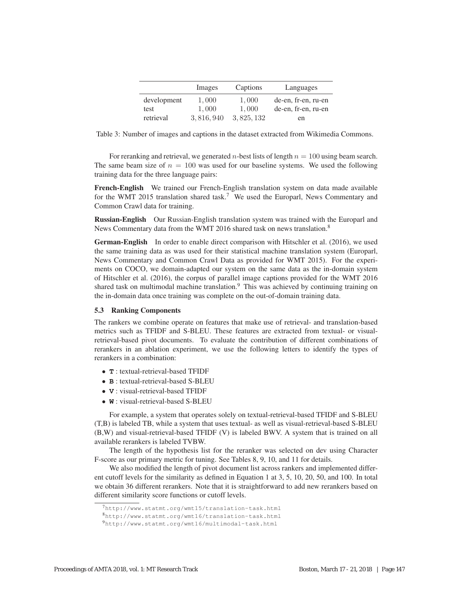|             | Images    | Captions    | Languages           |
|-------------|-----------|-------------|---------------------|
| development | 1,000     | 1,000       | de-en, fr-en, ru-en |
| test        | 1,000     | 1,000       | de-en, fr-en, ru-en |
| retrieval   | 3,816,940 | 3, 825, 132 | en                  |

Table 3: Number of images and captions in the dataset extracted from Wikimedia Commons.

For reranking and retrieval, we generated *n*-best lists of length  $n = 100$  using beam search. The same beam size of  $n = 100$  was used for our baseline systems. We used the following training data for the three language pairs:

French-English We trained our French-English translation system on data made available for the WMT 2015 translation shared task.<sup>7</sup> We used the Europarl, News Commentary and Common Crawl data for training.

Russian-English Our Russian-English translation system was trained with the Europarl and News Commentary data from the WMT 2016 shared task on news translation.<sup>8</sup>

German-English In order to enable direct comparison with Hitschler et al. (2016), we used the same training data as was used for their statistical machine translation system (Europarl, News Commentary and Common Crawl Data as provided for WMT 2015). For the experiments on COCO, we domain-adapted our system on the same data as the in-domain system of Hitschler et al. (2016), the corpus of parallel image captions provided for the WMT 2016 shared task on multimodal machine translation.<sup>9</sup> This was achieved by continuing training on the in-domain data once training was complete on the out-of-domain training data.

## 5.3 Ranking Components

The rankers we combine operate on features that make use of retrieval- and translation-based metrics such as TFIDF and S-BLEU. These features are extracted from textual- or visualretrieval-based pivot documents. To evaluate the contribution of different combinations of rerankers in an ablation experiment, we use the following letters to identify the types of rerankers in a combination:

- **T** : textual-retrieval-based TFIDF
- **B** : textual-retrieval-based S-BLEU
- **V** : visual-retrieval-based TFIDF
- **W** : visual-retrieval-based S-BLEU

For example, a system that operates solely on textual-retrieval-based TFIDF and S-BLEU (T,B) is labeled TB, while a system that uses textual- as well as visual-retrieval-based S-BLEU (B,W) and visual-retrieval-based TFIDF (V) is labeled BWV. A system that is trained on all available rerankers is labeled TVBW.

The length of the hypothesis list for the reranker was selected on dev using Character F-score as our primary metric for tuning. See Tables 8, 9, 10, and 11 for details.

We also modified the length of pivot document list across rankers and implemented different cutoff levels for the similarity as defined in Equation 1 at 3, 5, 10, 20, 50, and 100. In total we obtain 36 different rerankers. Note that it is straightforward to add new rerankers based on different similarity score functions or cutoff levels.

<sup>7</sup>http://www.statmt.org/wmt15/translation-task.html

<sup>8</sup>http://www.statmt.org/wmt16/translation-task.html

<sup>9</sup>http://www.statmt.org/wmt16/multimodal-task.html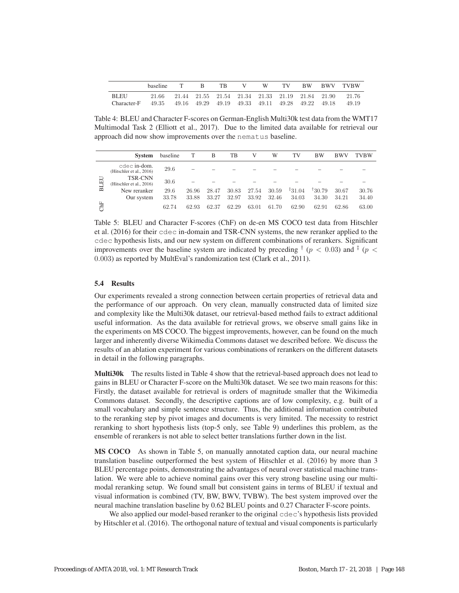|                     | baseline                                              | В. | TR. | $\mathbf{V}$ | W | TV |  | BW BWV TVBW                                                          |
|---------------------|-------------------------------------------------------|----|-----|--------------|---|----|--|----------------------------------------------------------------------|
| BLEU<br>Character-F | 49.35 49.16 49.29 49.19 49.33 49.11 49.28 49.22 49.18 |    |     |              |   |    |  | 21.66 21.44 21.55 21.54 21.34 21.33 21.19 21.84 21.90 21.76<br>49.19 |
|                     |                                                       |    |     |              |   |    |  |                                                                      |

Table 4: BLEU and Character F-scores on German-English Multi30k test data from the WMT17 Multimodal Task 2 (Elliott et al., 2017). Due to the limited data available for retrieval our approach did now show improvements over the nematus baseline.

|            | System                                     | baseline | T     | В     | TВ    | V     | W     | TV     | <b>BW</b> | <b>BWV</b> | TVBW  |
|------------|--------------------------------------------|----------|-------|-------|-------|-------|-------|--------|-----------|------------|-------|
|            | cdec in-dom.<br>(Hitschler et al., 2016)   | 29.6     |       |       |       |       |       |        |           |            |       |
| EU         | <b>TSR-CNN</b><br>(Hitschler et al., 2016) | 30.6     |       |       |       |       |       |        |           |            |       |
| E          | New reranker                               | 29.6     | 26.96 | 28.47 | 30.83 | 27.54 | 30.59 | 131.04 | 130.79    | 30.67      | 30.76 |
|            | Our system                                 | 33.78    | 33.88 | 33.27 | 32.97 | 33.92 | 32.46 | 34.03  | 34.30     | 34.21      | 34.40 |
| <b>ChF</b> |                                            | 62.74    | 62.93 | 62.37 | 62.29 | 63.01 | 61.70 | 62.90  | 62.91     | 62.86      | 63.00 |

Table 5: BLEU and Character F-scores (ChF) on de-en MS COCO test data from Hitschler et al. (2016) for their cdec in-domain and TSR-CNN systems, the new reranker applied to the cdec hypothesis lists, and our new system on different combinations of rerankers. Significant improvements over the baseline system are indicated by preceding  $\frac{1}{2}$  ( $p < 0.03$ ) and  $\frac{1}{2}$  ( $p <$ 0.003) as reported by MultEval's randomization test (Clark et al., 2011).

# 5.4 Results

Our experiments revealed a strong connection between certain properties of retrieval data and the performance of our approach. On very clean, manually constructed data of limited size and complexity like the Multi30k dataset, our retrieval-based method fails to extract additional useful information. As the data available for retrieval grows, we observe small gains like in the experiments on MS COCO. The biggest improvements, however, can be found on the much larger and inherently diverse Wikimedia Commons dataset we described before. We discuss the results of an ablation experiment for various combinations of rerankers on the different datasets in detail in the following paragraphs.

Multi30k The results listed in Table 4 show that the retrieval-based approach does not lead to gains in BLEU or Character F-score on the Multi30k dataset. We see two main reasons for this: Firstly, the dataset available for retrieval is orders of magnitude smaller that the Wikimedia Commons dataset. Secondly, the descriptive captions are of low complexity, e.g. built of a small vocabulary and simple sentence structure. Thus, the additional information contributed to the reranking step by pivot images and documents is very limited. The necessity to restrict reranking to short hypothesis lists (top-5 only, see Table 9) underlines this problem, as the ensemble of rerankers is not able to select better translations further down in the list.

MS COCO As shown in Table 5, on manually annotated caption data, our neural machine translation baseline outperformed the best system of Hitschler et al. (2016) by more than 3 BLEU percentage points, demonstrating the advantages of neural over statistical machine translation. We were able to achieve nominal gains over this very strong baseline using our multimodal reranking setup. We found small but consistent gains in terms of BLEU if textual and visual information is combined (TV, BW, BWV, TVBW). The best system improved over the neural machine translation baseline by 0.62 BLEU points and 0.27 Character F-score points.

We also applied our model-based reranker to the original cdec's hypothesis lists provided by Hitschler et al. (2016). The orthogonal nature of textual and visual components is particularly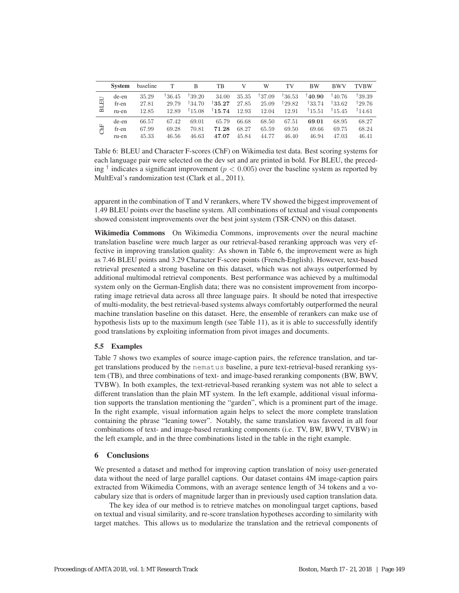|    | <b>System</b> | baseline |        | B      | TВ               |       | W     | TV               | <b>BW</b>          | <b>BWV</b>         | <b>TVBW</b> |
|----|---------------|----------|--------|--------|------------------|-------|-------|------------------|--------------------|--------------------|-------------|
| EQ | de-en         | 35.29    | †36.45 | 139.20 | 34.00            | 35.35 | 37.09 | $^\dagger 36.53$ | 140.90             | <sup>†</sup> 40.76 | †39.39      |
|    | fr-en         | 27.81    | 29.79  | 134.70 | $^\dagger 35.27$ | 27.85 | 25.09 | 129.82           | $\frac{133.74}{ }$ | 133.62             | 129.76      |
| Б  | ru-en         | 12.85    | 12.89  | 15.08  | $^\dagger 15.74$ | 12.93 | 12.04 | 12.91            | 15.51              | 15.45              | †14.61      |
|    | de-en         | 66.57    | 67.42  | 69.01  | 65.79            | 66.68 | 68.50 | 67.51            | 69.01              | 68.95              | 68.27       |
| Яĸ | fr-en         | 67.99    | 69.28  | 70.81  | 71.28            | 68.27 | 65.59 | 69.50            | 69.66              | 69.75              | 68.24       |
|    | ru-en         | 45.33    | 46.56  | 46.63  | 47.07            | 45.84 | 44.77 | 46.40            | 46.94              | 47.03              | 46.41       |

Table 6: BLEU and Character F-scores (ChF) on Wikimedia test data. Best scoring systems for each language pair were selected on the dev set and are printed in bold. For BLEU, the preceding  $\dagger$  indicates a significant improvement ( $p < 0.005$ ) over the baseline system as reported by MultEval's randomization test (Clark et al., 2011).

apparent in the combination of T and V rerankers, where TV showed the biggest improvement of 1.49 BLEU points over the baseline system. All combinations of textual and visual components showed consistent improvements over the best joint system (TSR-CNN) on this dataset.

Wikimedia Commons On Wikimedia Commons, improvements over the neural machine translation baseline were much larger as our retrieval-based reranking approach was very effective in improving translation quality: As shown in Table 6, the improvement were as high as 7.46 BLEU points and 3.29 Character F-score points (French-English). However, text-based retrieval presented a strong baseline on this dataset, which was not always outperformed by additional multimodal retrieval components. Best performance was achieved by a multimodal system only on the German-English data; there was no consistent improvement from incorporating image retrieval data across all three language pairs. It should be noted that irrespective of multi-modality, the best retrieval-based systems always comfortably outperformed the neural machine translation baseline on this dataset. Here, the ensemble of rerankers can make use of hypothesis lists up to the maximum length (see Table 11), as it is able to successfully identify good translations by exploiting information from pivot images and documents.

# 5.5 Examples

Table 7 shows two examples of source image-caption pairs, the reference translation, and target translations produced by the nematus baseline, a pure text-retrieval-based reranking system (TB), and three combinations of text- and image-based reranking components (BW, BWV, TVBW). In both examples, the text-retrieval-based reranking system was not able to select a different translation than the plain MT system. In the left example, additional visual information supports the translation mentioning the "garden", which is a prominent part of the image. In the right example, visual information again helps to select the more complete translation containing the phrase "leaning tower". Notably, the same translation was favored in all four combinations of text- and image-based reranking components (i.e. TV, BW, BWV, TVBW) in the left example, and in the three combinations listed in the table in the right example.

## 6 Conclusions

We presented a dataset and method for improving caption translation of noisy user-generated data without the need of large parallel captions. Our dataset contains 4M image-caption pairs extracted from Wikimedia Commons, with an average sentence length of 34 tokens and a vocabulary size that is orders of magnitude larger than in previously used caption translation data.

The key idea of our method is to retrieve matches on monolingual target captions, based on textual and visual similarity, and re-score translation hypotheses according to similarity with target matches. This allows us to modularize the translation and the retrieval components of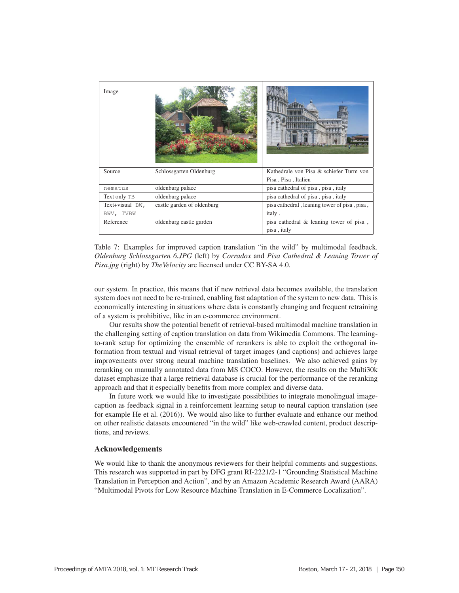| Image           |                            |                                              |
|-----------------|----------------------------|----------------------------------------------|
| Source          | Schlossgarten Oldenburg    | Kathedrale von Pisa & schiefer Turm von      |
|                 |                            | Pisa, Pisa, Italien                          |
| nematus         | oldenburg palace           | pisa cathedral of pisa, pisa, italy          |
| Text only TB    | oldenburg palace           | pisa cathedral of pisa, pisa, italy          |
| Text+visual BW, | castle garden of oldenburg | pisa cathedral, leaning tower of pisa, pisa, |
| BWV, TVBW       |                            | italy.                                       |
| Reference       | oldenburg castle garden    | pisa cathedral & leaning tower of pisa,      |
|                 |                            | pisa, italy                                  |

Table 7: Examples for improved caption translation "in the wild" by multimodal feedback. *Oldenburg Schlossgarten 6.JPG* (left) by *Corradox* and *Pisa Cathedral & Leaning Tower of Pisa.jpg* (right) by *The Velocity* are licensed under CC BY-SA 4.0.

our system. In practice, this means that if new retrieval data becomes available, the translation system does not need to be re-trained, enabling fast adaptation of the system to new data. This is economically interesting in situations where data is constantly changing and frequent retraining of a system is prohibitive, like in an e-commerce environment.

Our results show the potential benefit of retrieval-based multimodal machine translation in the challenging setting of caption translation on data from Wikimedia Commons. The learningto-rank setup for optimizing the ensemble of rerankers is able to exploit the orthogonal information from textual and visual retrieval of target images (and captions) and achieves large improvements over strong neural machine translation baselines. We also achieved gains by reranking on manually annotated data from MS COCO. However, the results on the Multi30k dataset emphasize that a large retrieval database is crucial for the performance of the reranking approach and that it especially benefits from more complex and diverse data.

In future work we would like to investigate possibilities to integrate monolingual imagecaption as feedback signal in a reinforcement learning setup to neural caption translation (see for example He et al. (2016)). We would also like to further evaluate and enhance our method on other realistic datasets encountered "in the wild" like web-crawled content, product descriptions, and reviews.

# Acknowledgements

We would like to thank the anonymous reviewers for their helpful comments and suggestions. This research was supported in part by DFG grant RI-2221/2-1 "Grounding Statistical Machine Translation in Perception and Action", and by an Amazon Academic Research Award (AARA) "Multimodal Pivots for Low Resource Machine Translation in E-Commerce Localization".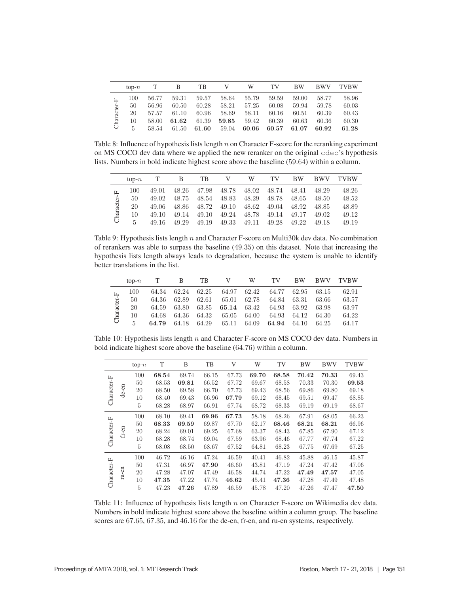|             | $top-n$ |       | В     | TВ    |       | W     | TV    | <b>BW</b> | <b>BWV</b> | TVBW  |
|-------------|---------|-------|-------|-------|-------|-------|-------|-----------|------------|-------|
| $\boxed{1}$ | 100     | 56.77 | 59.31 | 59.57 | 58.64 | 55.79 | 59.59 | 59.00     | 58.77      | 58.96 |
|             | 50      | 56.96 | 60.50 | 60.28 | 58.21 | 57.25 | 60.08 | 59.94     | 59.78      | 60.03 |
| Character-  | 20      | 57.57 | 61.10 | 60.96 | 58.69 | 58.11 | 60.16 | 60.51     | 60.39      | 60.43 |
|             | 10      | 58.00 | 61.62 | 61.39 | 59.85 | 59.42 | 60.39 | 60.63     | 60.36      | 60.30 |
|             | 5       | 58.54 | 61.50 | 61.60 | 59.04 | 60.06 | 60.57 | 61.07     | 60.92      | 61.28 |
|             |         |       |       |       |       |       |       |           |            |       |

Table 8: Influence of hypothesis lists length  $n$  on Character F-score for the reranking experiment on MS COCO dev data where we applied the new reranker on the original cdec's hypothesis lists. Numbers in bold indicate highest score above the baseline (59.64) within a column.

|            | $top-n$ |       | B     | TВ    |       | W     | TV    | <b>BW</b> | <b>BWV</b> | <b>TVBW</b> |
|------------|---------|-------|-------|-------|-------|-------|-------|-----------|------------|-------------|
| 匞          | 100     | 49.01 | 48.26 | 47.98 | 48.78 | 48.02 | 48.74 | 48.41     | 48.29      | 48.26       |
|            | 50      | 49.02 | 48.75 | 48.54 | 48.83 | 48.29 | 48.78 | 48.65     | 48.50      | 48.52       |
|            | 20      | 49.06 | 48.86 | 48.72 | 49.10 | 48.62 | 49.04 | 48.92     | 48.85      | 48.89       |
| Character- | 10      | 49.10 | 49.14 | 49.10 | 49.24 | 48.78 | 49.14 | 49.17     | 49.02      | 49.12       |
|            | 5       | 49.16 | 49.29 | 49.19 | 49.33 | 49.11 | 49.28 | 49.22     | 49.18      | 49.19       |
|            |         |       |       |       |       |       |       |           |            |             |

Table 9: Hypothesis lists length n and Character F-score on Multi30k dev data. No combination of rerankers was able to surpass the baseline (49.35) on this dataset. Note that increasing the hypothesis lists length always leads to degradation, because the system is unable to identify better translations in the list.

|             | $top-n$ |       | B     | TВ    | V     | W     | TV    | <b>BW</b> | <b>BWV</b> | <b>TVBW</b> |
|-------------|---------|-------|-------|-------|-------|-------|-------|-----------|------------|-------------|
|             | 100     | 64.34 | 62.24 | 62.25 | 64.97 | 62.42 | 64.77 | 62.95     | 63.15      | 62.91       |
|             | 50      | 64.36 | 62.89 | 62.61 | 65.01 | 62.78 | 64.84 | 63.31     | 63.66      | 63.57       |
| Character-F | 20      | 64.59 | 63.80 | 63.85 | 65.14 | 63.42 | 64.93 | 63.92     | 63.98      | 63.97       |
|             | 10      | 64.68 | 64.36 | 64.32 | 65.05 | 64.00 | 64.93 | 64.12     | 64.30      | 64.22       |
|             | 5       | 64.79 | 64.18 | 64.29 | 65.11 | 64.09 | 64.94 | 64.10     | 64.25      | 64.17       |
|             |         |       |       |       |       |       |       |           |            |             |

Table 10: Hypothesis lists length n and Character F-score on MS COCO dev data. Numbers in bold indicate highest score above the baseline (64.76) within a column.

|             |             | $top-n$ | T     | B     | TB    | V     | W     | TV    | BW    | <b>BWV</b> | <b>TVBW</b> |
|-------------|-------------|---------|-------|-------|-------|-------|-------|-------|-------|------------|-------------|
| Character-F |             | 100     | 68.54 | 69.74 | 66.15 | 67.73 | 69.70 | 68.58 | 70.42 | 70.33      | 69.43       |
|             |             | 50      | 68.53 | 69.81 | 66.52 | 67.72 | 69.67 | 68.58 | 70.33 | 70.30      | 69.53       |
|             | de-en       | 20      | 68.50 | 69.58 | 66.70 | 67.73 | 69.43 | 68.56 | 69.86 | 69.80      | 69.18       |
|             |             | 10      | 68.40 | 69.43 | 66.96 | 67.79 | 69.12 | 68.45 | 69.51 | 69.47      | 68.85       |
|             |             | 5       | 68.28 | 68.97 | 66.91 | 67.74 | 68.72 | 68.33 | 69.19 | 69.19      | 68.67       |
|             |             | 100     | 68.10 | 69.41 | 69.96 | 67.73 | 58.18 | 68.26 | 67.91 | 68.05      | 66.23       |
| Character-F |             | 50      | 68.33 | 69.59 | 69.87 | 67.70 | 62.17 | 68.46 | 68.21 | 68.21      | 66.96       |
|             | $fr-en$     | 20      | 68.24 | 69.01 | 69.25 | 67.68 | 63.37 | 68.43 | 67.85 | 67.90      | 67.12       |
|             |             | 10      | 68.28 | 68.74 | 69.04 | 67.59 | 63.96 | 68.46 | 67.77 | 67.74      | 67.22       |
|             |             | 5       | 68.08 | 68.50 | 68.67 | 67.52 | 64.81 | 68.23 | 67.75 | 67.69      | 67.25       |
|             |             | 100     | 46.72 | 46.16 | 47.24 | 46.59 | 40.41 | 46.82 | 45.88 | 46.15      | 45.87       |
|             |             | 50      | 47.31 | 46.97 | 47.90 | 46.60 | 43.81 | 47.19 | 47.24 | 47.42      | 47.06       |
| Character-F | $ru$ - $en$ | 20      | 47.28 | 47.07 | 47.49 | 46.58 | 44.74 | 47.22 | 47.49 | 47.57      | 47.05       |
|             |             | 10      | 47.35 | 47.22 | 47.74 | 46.62 | 45.41 | 47.36 | 47.28 | 47.49      | 47.48       |
|             |             | 5       | 47.23 | 47.26 | 47.89 | 46.59 | 45.78 | 47.20 | 47.26 | 47.47      | 47.50       |

Table 11: Influence of hypothesis lists length  $n$  on Character F-score on Wikimedia dev data. Numbers in bold indicate highest score above the baseline within a column group. The baseline scores are 67.65, 67.35, and 46.16 for the de-en, fr-en, and ru-en systems, respectively.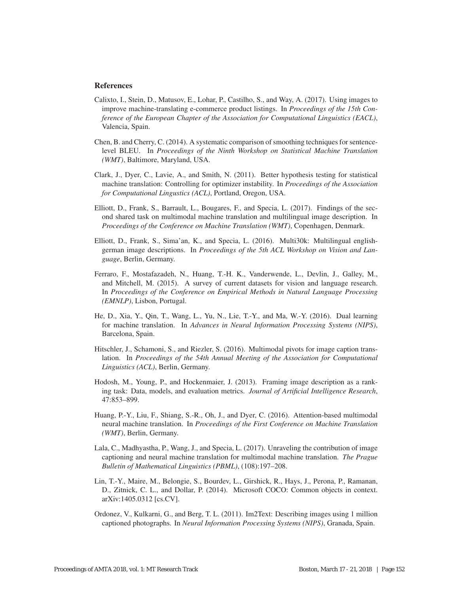# References

- Calixto, I., Stein, D., Matusov, E., Lohar, P., Castilho, S., and Way, A. (2017). Using images to improve machine-translating e-commerce product listings. In *Proceedings of the 15th Conference of the European Chapter of the Association for Computational Linguistics (EACL)*, Valencia, Spain.
- Chen, B. and Cherry, C. (2014). A systematic comparison of smoothing techniques for sentencelevel BLEU. In *Proceedings of the Ninth Workshop on Statistical Machine Translation (WMT)*, Baltimore, Maryland, USA.
- Clark, J., Dyer, C., Lavie, A., and Smith, N. (2011). Better hypothesis testing for statistical machine translation: Controlling for optimizer instability. In *Proceedings of the Association for Computational Lingustics (ACL)*, Portland, Oregon, USA.
- Elliott, D., Frank, S., Barrault, L., Bougares, F., and Specia, L. (2017). Findings of the second shared task on multimodal machine translation and multilingual image description. In *Proceedings of the Conference on Machine Translation (WMT)*, Copenhagen, Denmark.
- Elliott, D., Frank, S., Sima'an, K., and Specia, L. (2016). Multi30k: Multilingual englishgerman image descriptions. In *Proceedings of the 5th ACL Workshop on Vision and Language*, Berlin, Germany.
- Ferraro, F., Mostafazadeh, N., Huang, T.-H. K., Vanderwende, L., Devlin, J., Galley, M., and Mitchell, M. (2015). A survey of current datasets for vision and language research. In *Proceedings of the Conference on Empirical Methods in Natural Language Processing (EMNLP)*, Lisbon, Portugal.
- He, D., Xia, Y., Qin, T., Wang, L., Yu, N., Lie, T.-Y., and Ma, W.-Y. (2016). Dual learning for machine translation. In *Advances in Neural Information Processing Systems (NIPS)*, Barcelona, Spain.
- Hitschler, J., Schamoni, S., and Riezler, S. (2016). Multimodal pivots for image caption translation. In *Proceedings of the 54th Annual Meeting of the Association for Computational Linguistics (ACL)*, Berlin, Germany.
- Hodosh, M., Young, P., and Hockenmaier, J. (2013). Framing image description as a ranking task: Data, models, and evaluation metrics. *Journal of Artificial Intelligence Research*, 47:853–899.
- Huang, P.-Y., Liu, F., Shiang, S.-R., Oh, J., and Dyer, C. (2016). Attention-based multimodal neural machine translation. In *Proceedings of the First Conference on Machine Translation (WMT)*, Berlin, Germany.
- Lala, C., Madhyastha, P., Wang, J., and Specia, L. (2017). Unraveling the contribution of image captioning and neural machine translation for multimodal machine translation. *The Prague Bulletin of Mathematical Linguistics (PBML)*, (108):197–208.
- Lin, T.-Y., Maire, M., Belongie, S., Bourdev, L., Girshick, R., Hays, J., Perona, P., Ramanan, D., Zitnick, C. L., and Dollar, P. (2014). Microsoft COCO: Common objects in context. arXiv:1405.0312 [cs.CV].
- Ordonez, V., Kulkarni, G., and Berg, T. L. (2011). Im2Text: Describing images using 1 million captioned photographs. In *Neural Information Processing Systems (NIPS)*, Granada, Spain.